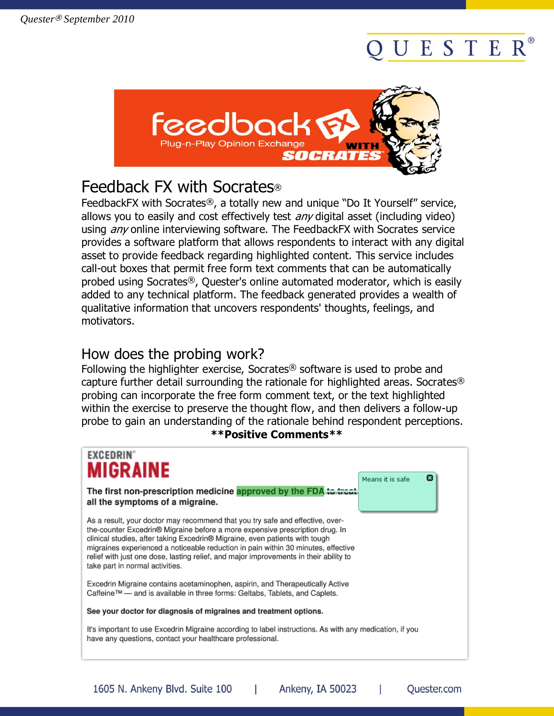# ESTER



# Feedback FX with Socrates®

FeedbackFX with Socrates®, a totally new and unique "Do It Yourself" service, allows you to easily and cost effectively test *any* digital asset (including video) using *any* online interviewing software. The FeedbackFX with Socrates service provides a software platform that allows respondents to interact with any digital asset to provide feedback regarding highlighted content. This service includes call-out boxes that permit free form text comments that can be automatically probed using Socrates®, Quester's online automated moderator, which is easily added to any technical platform. The feedback generated provides a wealth of qualitative information that uncovers respondents' thoughts, feelings, and motivators.

### How does the probing work?

Following the highlighter exercise, Socrates® software is used to probe and capture further detail surrounding the rationale for highlighted areas. Socrates® probing can incorporate the free form comment text, or the text highlighted within the exercise to preserve the thought flow, and then delivers a follow-up probe to gain an understanding of the rationale behind respondent perceptions.

#### **\*\*Positive Comments\*\***

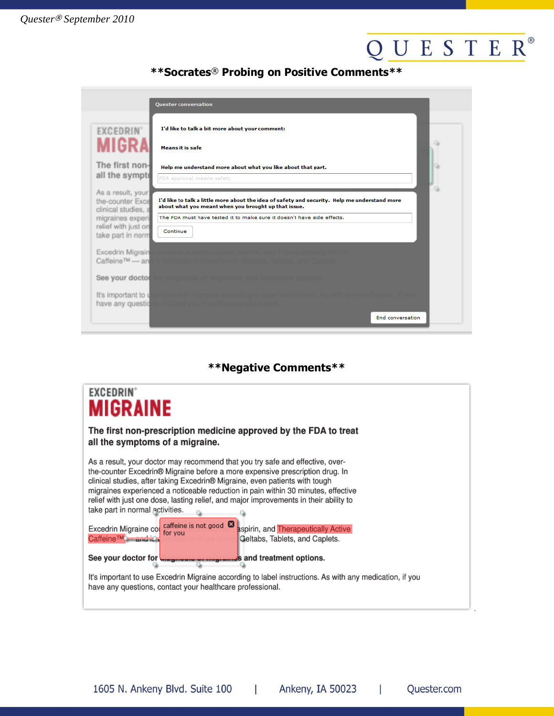# QUESTER®

### **\*\*Socrates**® **Probing on Positive Comments\*\***

|                                                                                                                              | <b>Quester conversation</b>                                                                                                                                                                                                                 |
|------------------------------------------------------------------------------------------------------------------------------|---------------------------------------------------------------------------------------------------------------------------------------------------------------------------------------------------------------------------------------------|
| <b>EXCEDRIN</b><br>MIGR                                                                                                      | I'd like to talk a bit more about your comment:<br><b>Means it is safe</b>                                                                                                                                                                  |
| The first non-<br>all the sympt                                                                                              | Help me understand more about what you like about that part.<br>FDA approval means safety                                                                                                                                                   |
| As a result, your<br>the-counter Exce<br>clinical studies, a<br>migraines experi<br>relief with just on<br>take part in norm | I'd like to talk a little more about the idea of safety and security. Help me understand more<br>about what you meant when you brought up that issue.<br>The FDA must have tested it to make sure it doesn't have side effects.<br>Continue |
| Excedrin Migrain<br>Caffeine™ — an                                                                                           |                                                                                                                                                                                                                                             |
| See your doctor                                                                                                              |                                                                                                                                                                                                                                             |
| It's important to<br>have any questic                                                                                        |                                                                                                                                                                                                                                             |
|                                                                                                                              | End conversation                                                                                                                                                                                                                            |

### **\*\*Negative Comments\*\***

| <b>EXCEDRIN</b><br><b>MIGRAINE</b>                                                                                                                                                                                                                                                                                                                                                                                                                                                                                                                                                                                                                                                                     |
|--------------------------------------------------------------------------------------------------------------------------------------------------------------------------------------------------------------------------------------------------------------------------------------------------------------------------------------------------------------------------------------------------------------------------------------------------------------------------------------------------------------------------------------------------------------------------------------------------------------------------------------------------------------------------------------------------------|
| The first non-prescription medicine approved by the FDA to treat<br>all the symptoms of a migraine.                                                                                                                                                                                                                                                                                                                                                                                                                                                                                                                                                                                                    |
| As a result, your doctor may recommend that you try safe and effective, over-<br>the-counter Excedrin® Migraine before a more expensive prescription drug. In<br>clinical studies, after taking Excedrin® Migraine, even patients with tough<br>migraines experienced a noticeable reduction in pain within 30 minutes, effective<br>relief with just one dose, lasting relief, and major improvements in their ability to<br>take part in normal activities.<br>Excedrin Migraine col caffeine is not good <b>8</b> aspirin, and Therapeutically Active<br>Caffeine™— and ie<br>Geltabs, Tablets, and Caplets.<br>See your doctor for <b>Conservation</b> of <i>integrant</i> sand treatment options. |
| It's important to use Excedrin Migraine according to label instructions. As with any medication, if you<br>have any questions, contact your healthcare professional.                                                                                                                                                                                                                                                                                                                                                                                                                                                                                                                                   |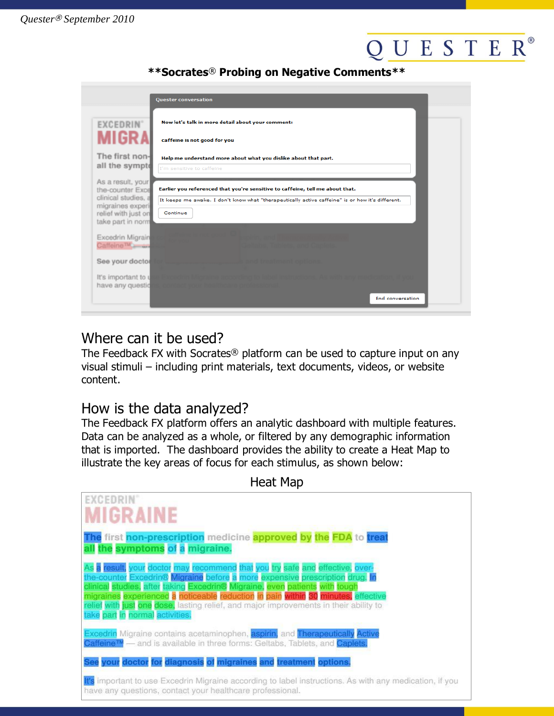# UESTER®

#### **\*\*Socrates**® **Probing on Negative Comments\*\***

|                                                                                                                              | <b>Quester conversation</b>                                                                                                                                                                   |
|------------------------------------------------------------------------------------------------------------------------------|-----------------------------------------------------------------------------------------------------------------------------------------------------------------------------------------------|
| <b>EXCEDRIN</b> °                                                                                                            | Now let's talk in more detail about your comment:                                                                                                                                             |
|                                                                                                                              | caffeine is not good for you                                                                                                                                                                  |
| The first non-<br>all the sympto                                                                                             | Help me understand more about what you dislike about that part.<br>I'm sensitive to caffeine                                                                                                  |
| As a result, your<br>the-counter Exce<br>clinical studies, a<br>migraines experi<br>relief with just on<br>take part in norm | Earlier you referenced that you're sensitive to caffeine, tell me about that.<br>It keeps me awake. I don't know what "therapeutically active caffeine" is or how it's different.<br>Continue |
| Excedrin Migrain<br>Caffeine™                                                                                                |                                                                                                                                                                                               |
| See your doctor                                                                                                              |                                                                                                                                                                                               |
| It's important to<br>have any questio                                                                                        |                                                                                                                                                                                               |
|                                                                                                                              | End conversation                                                                                                                                                                              |

# Where can it be used?

The Feedback FX with Socrates<sup>®</sup> platform can be used to capture input on any visual stimuli – including print materials, text documents, videos, or website content.

## How is the data analyzed?

The Feedback FX platform offers an analytic dashboard with multiple features. Data can be analyzed as a whole, or filtered by any demographic information that is imported. The dashboard provides the ability to create a Heat Map to illustrate the key areas of focus for each stimulus, as shown below:

| neat Map                                                                                                                                                                                                                                                                                                                                                                                                                                                      |  |  |
|---------------------------------------------------------------------------------------------------------------------------------------------------------------------------------------------------------------------------------------------------------------------------------------------------------------------------------------------------------------------------------------------------------------------------------------------------------------|--|--|
| EXCEDRIN'<br><b>MIGRAINE</b>                                                                                                                                                                                                                                                                                                                                                                                                                                  |  |  |
| The first non-prescription medicine approved by the FDA to treat<br>all the symptoms of a migraine.                                                                                                                                                                                                                                                                                                                                                           |  |  |
| As a result, your doctor may recommend that you try safe and effective, over-<br>the-counter Excedrin® Migraine before a more expensive prescription drug. In<br>clinical studies, after taking Excedrin® Migraine, even patients with tough<br>migraines experienced a noticeable reduction in pain within 30 minutes, effective<br>relief with just one dose, lasting relief, and major improvements in their ability to<br>take part in normal activities. |  |  |
| Excedrin Migraine contains acetaminophen, aspirin, and Therapeutically Active<br>Caffeine™ — and is available in three forms: Geltabs, Tablets, and Caplets.                                                                                                                                                                                                                                                                                                  |  |  |
| See your doctor for diagnosis of migraines and treatment options.                                                                                                                                                                                                                                                                                                                                                                                             |  |  |
| It's important to use Excedrin Migraine according to label instructions. As with any medication, if you<br>have any questions, contact your healthcare professional.                                                                                                                                                                                                                                                                                          |  |  |

 $H$ <sub>o</sub>nt Map